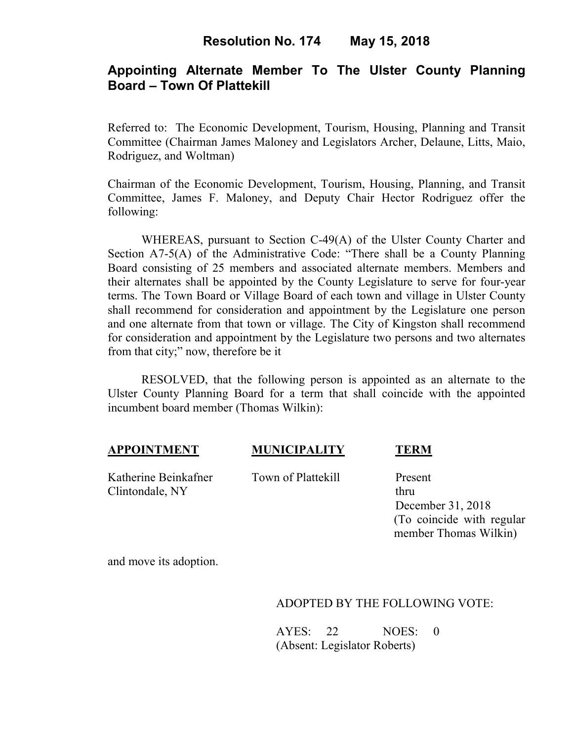# **Appointing Alternate Member To The Ulster County Planning Board – Town Of Plattekill**

Referred to: The Economic Development, Tourism, Housing, Planning and Transit Committee (Chairman James Maloney and Legislators Archer, Delaune, Litts, Maio, Rodriguez, and Woltman)

Chairman of the Economic Development, Tourism, Housing, Planning, and Transit Committee, James F. Maloney, and Deputy Chair Hector Rodriguez offer the following:

WHEREAS, pursuant to Section C-49(A) of the Ulster County Charter and Section A7-5(A) of the Administrative Code: "There shall be a County Planning Board consisting of 25 members and associated alternate members. Members and their alternates shall be appointed by the County Legislature to serve for four-year terms. The Town Board or Village Board of each town and village in Ulster County shall recommend for consideration and appointment by the Legislature one person and one alternate from that town or village. The City of Kingston shall recommend for consideration and appointment by the Legislature two persons and two alternates from that city;" now, therefore be it

RESOLVED, that the following person is appointed as an alternate to the Ulster County Planning Board for a term that shall coincide with the appointed incumbent board member (Thomas Wilkin):

### **APPOINTMENT MUNICIPALITY TERM**

Katherine Beinkafner Town of Plattekill Present Clintondale, NY thru

 December 31, 2018 (To coincide with regular member Thomas Wilkin)

and move its adoption.

### ADOPTED BY THE FOLLOWING VOTE:

AYES: 22 NOES: 0 (Absent: Legislator Roberts)